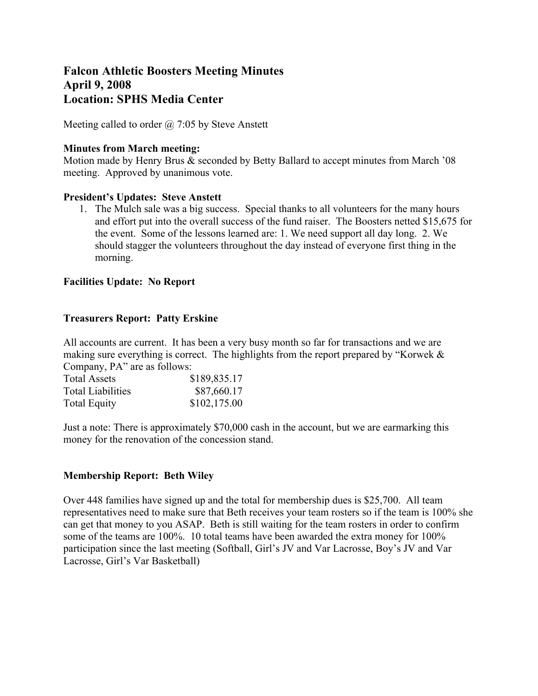# **Falcon Athletic Boosters Meeting Minutes April 9, 2008 Location: SPHS Media Center**

Meeting called to order  $\omega$  7:05 by Steve Anstett

## **Minutes from March meeting:**

Motion made by Henry Brus & seconded by Betty Ballard to accept minutes from March '08 meeting. Approved by unanimous vote.

## **President's Updates: Steve Anstett**

1. The Mulch sale was a big success. Special thanks to all volunteers for the many hours and effort put into the overall success of the fund raiser. The Boosters netted \$15,675 for the event. Some of the lessons learned are: 1. We need support all day long. 2. We should stagger the volunteers throughout the day instead of everyone first thing in the morning.

## **Facilities Update: No Report**

## **Treasurers Report: Patty Erskine**

All accounts are current. It has been a very busy month so far for transactions and we are making sure everything is correct. The highlights from the report prepared by "Korwek & Company, PA" are as follows:

| <b>Total Assets</b>      | \$189,835.17 |  |  |
|--------------------------|--------------|--|--|
| <b>Total Liabilities</b> | \$87,660.17  |  |  |
| <b>Total Equity</b>      | \$102,175.00 |  |  |

Just a note: There is approximately \$70,000 cash in the account, but we are earmarking this money for the renovation of the concession stand.

## **Membership Report: Beth Wiley**

Over 448 families have signed up and the total for membership dues is \$25,700. All team representatives need to make sure that Beth receives your team rosters so if the team is 100% she can get that money to you ASAP. Beth is still waiting for the team rosters in order to confirm some of the teams are 100%. 10 total teams have been awarded the extra money for 100% participation since the last meeting (Softball, Girl's JV and Var Lacrosse, Boy's JV and Var Lacrosse, Girl's Var Basketball)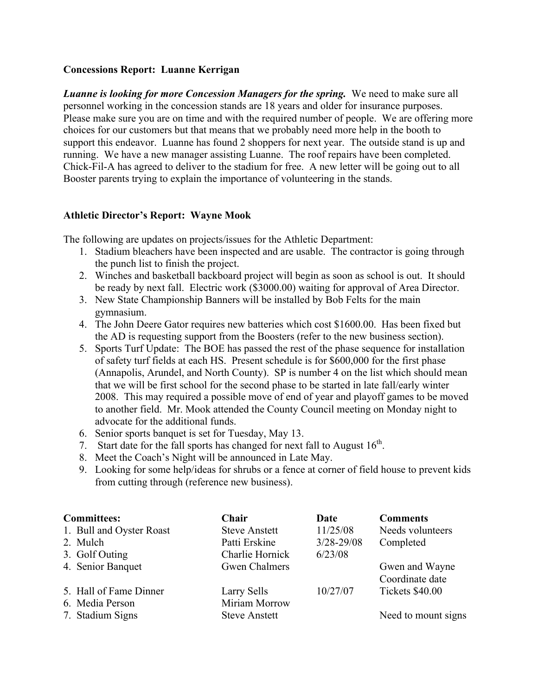## **Concessions Report: Luanne Kerrigan**

*Luanne is looking for more Concession Managers for the spring.* We need to make sure all personnel working in the concession stands are 18 years and older for insurance purposes. Please make sure you are on time and with the required number of people. We are offering more choices for our customers but that means that we probably need more help in the booth to support this endeavor. Luanne has found 2 shoppers for next year. The outside stand is up and running. We have a new manager assisting Luanne. The roof repairs have been completed. Chick-Fil-A has agreed to deliver to the stadium for free. A new letter will be going out to all Booster parents trying to explain the importance of volunteering in the stands.

# **Athletic Director's Report: Wayne Mook**

The following are updates on projects/issues for the Athletic Department:

- 1. Stadium bleachers have been inspected and are usable. The contractor is going through the punch list to finish the project.
- 2. Winches and basketball backboard project will begin as soon as school is out. It should be ready by next fall. Electric work (\$3000.00) waiting for approval of Area Director.
- 3. New State Championship Banners will be installed by Bob Felts for the main gymnasium.
- 4. The John Deere Gator requires new batteries which cost \$1600.00. Has been fixed but the AD is requesting support from the Boosters (refer to the new business section).
- 5. Sports Turf Update: The BOE has passed the rest of the phase sequence for installation of safety turf fields at each HS. Present schedule is for \$600,000 for the first phase (Annapolis, Arundel, and North County). SP is number 4 on the list which should mean that we will be first school for the second phase to be started in late fall/early winter 2008. This may required a possible move of end of year and playoff games to be moved to another field. Mr. Mook attended the County Council meeting on Monday night to advocate for the additional funds.
- 6. Senior sports banquet is set for Tuesday, May 13.
- 7. Start date for the fall sports has changed for next fall to August  $16<sup>th</sup>$ .
- 8. Meet the Coach's Night will be announced in Late May.
- 9. Looking for some help/ideas for shrubs or a fence at corner of field house to prevent kids from cutting through (reference new business).

| <b>Committees:</b>       | Chair                | Date           | <b>Comments</b>     |
|--------------------------|----------------------|----------------|---------------------|
| 1. Bull and Oyster Roast | <b>Steve Anstett</b> | 11/25/08       | Needs volunteers    |
| 2. Mulch                 | Patti Erskine        | $3/28 - 29/08$ | Completed           |
| 3. Golf Outing           | Charlie Hornick      | 6/23/08        |                     |
| 4. Senior Banquet        | <b>Gwen Chalmers</b> |                | Gwen and Wayne      |
|                          |                      |                | Coordinate date     |
| 5. Hall of Fame Dinner   | Larry Sells          | 10/27/07       | Tickets \$40.00     |
| 6. Media Person          | Miriam Morrow        |                |                     |
| 7. Stadium Signs         | <b>Steve Anstett</b> |                | Need to mount signs |